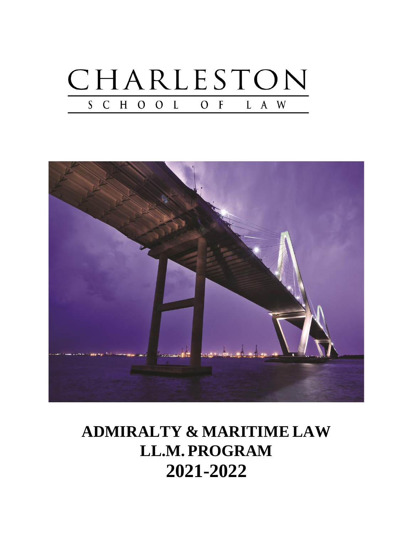



# **ADMIRALTY & MARITIME LAW LL.M. PROGRAM 2021-2022**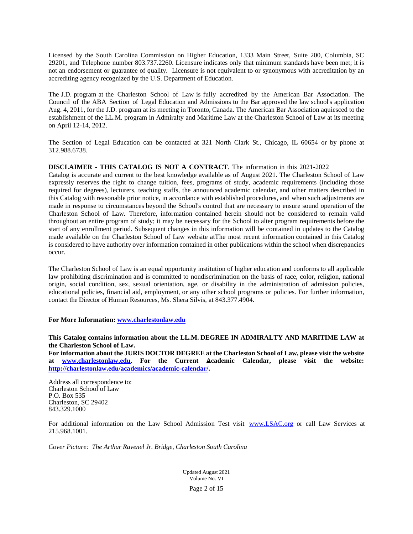Licensed by the South Carolina Commission on Higher Education, 1333 Main Street, Suite 200, Columbia, SC 29201, and Telephone number 803.737.2260. Licensure indicates only that minimum standards have been met; it is not an endorsement or guarantee of quality. Licensure is not equivalent to or synonymous with accreditation by an accrediting agency recognized by the U.S. Department of Education.

The J.D. program at the Charleston School of Law is fully accredited by the American Bar Association. The Council of the ABA Section of Legal Education and Admissions to the Bar approved the law school's application Aug. 4, 2011, for the J.D. program at its meeting in Toronto, Canada. The American Bar Association aquiesced to the establishment of the LL.M. program in Admiralty and Maritime Law at the Charleston School of Law at its meeting on April 12-14, 2012.

The Section of Legal Education can be contacted at 321 North Clark St., Chicago, IL 60654 or by phone at 312.988.6738.

#### **DISCLAIMER - THIS CATALOG IS NOT A CONTRACT**. The information in this 2021-2022

Catalog is accurate and current to the best knowledge available as of August 2021. The Charleston School of Law expressly reserves the right to change tuition, fees, programs of study, academic requirements (including those required for degrees), lecturers, teaching staffs, the announced academic calendar, and other matters described in this Catalog with reasonable prior notice, in accordance with established procedures, and when such adjustments are made in response to circumstances beyond the School's control that are necessary to ensure sound operation of the Charleston School of Law. Therefore, information contained herein should not be considered to remain valid throughout an entire program of study; it may be necessary for the School to alter program requirements before the start of any enrollment period. Subsequent changes in this information will be contained in updates to the Catalog made available on the Charleston School of Law website atThe most recent information contained in this Catalog is considered to have authority over information contained in other publications within the school when discrepancies occur.

The Charleston School of Law is an equal opportunity institution of higher education and conforms to all applicable law prohibiting discrimination and is committed to nondiscrimination on the basis of race, color, religion, national origin, social condition, sex, sexual orientation, age, or disability in the administration of admission policies, educational policies, financial aid, employment, or any other school programs or policies. For further information, contact the Director of Human Resources, Ms. Shera Silvis, at 843.377.4904.

#### **For More Information: [www.charlestonlaw.edu](http://www.charlestonlaw.edu/)**

#### **This Catalog contains information about the LL.M. DEGREE IN ADMIRALTY AND MARITIME LAW at the Charleston School of Law.**

**For information about the JURIS DOCTOR DEGREE at the Charleston School of Law, please visit the website at [www.charlestonlaw.edu.](http://www.charlestonlaw.edu/) For the Current Academic Calendar, please visit the website: [http://charlestonlaw.edu/academics/academic-calendar/.](http://charlestonlaw.edu/academics/academic-calendar/)** 

Address all correspondence to: Charleston School of Law P.O. Box 535 Charleston, SC 29402 843.329.1000

For additional information on the Law School Admission Test visit [www.LSAC.org](http://www.lsac.org/) or call Law Services at 215.968.1001.

*Cover Picture: The Arthur Ravenel Jr. Bridge, Charleston South Carolina*

Updated August 2021 Volume No. VI

Page 2 of 15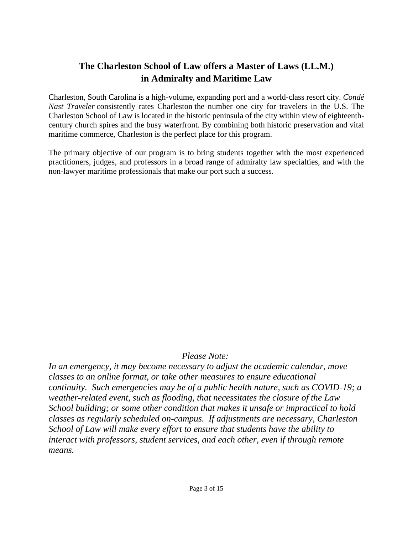# **The Charleston School of Law offers a Master of Laws (LL.M.) in Admiralty and Maritime Law**

Charleston, South Carolina is a high-volume, expanding port and a world-class resort city. *Condé Nast Traveler* consistently rates Charleston the number one city for travelers in the U.S. The Charleston School of Law is located in the historic peninsula of the city within view of eighteenthcentury church spires and the busy waterfront. By combining both historic preservation and vital maritime commerce, Charleston is the perfect place for this program.

The primary objective of our program is to bring students together with the most experienced practitioners, judges, and professors in a broad range of admiralty law specialties, and with the non-lawyer maritime professionals that make our port such a success.

# *Please Note:*

*In an emergency, it may become necessary to adjust the academic calendar, move classes to an online format, or take other measures to ensure educational continuity. Such emergencies may be of a public health nature, such as COVID-19; a weather-related event, such as flooding, that necessitates the closure of the Law School building; or some other condition that makes it unsafe or impractical to hold classes as regularly scheduled on-campus. If adjustments are necessary, Charleston School of Law will make every effort to ensure that students have the ability to interact with professors, student services, and each other, even if through remote means.*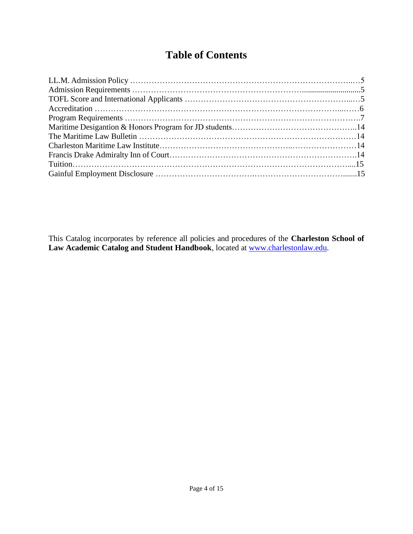# **Table of Contents**

This Catalog incorporates by reference all policies and procedures of the **Charleston School of Law Academic Catalog and Student Handbook**, located at [www.charlestonlaw.edu.](http://www.charlestonlaw.edu/)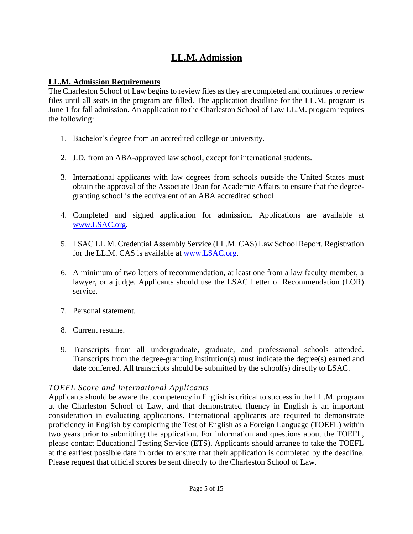# **LL.M. Admission**

#### **LL.M. Admission Requirements**

The Charleston School of Law begins to review files as they are completed and continues to review files until all seats in the program are filled. The application deadline for the LL.M. program is June 1 for fall admission. An application to the Charleston School of Law LL.M. program requires the following:

- 1. Bachelor's degree from an accredited college or university.
- 2. J.D. from an ABA-approved law school, except for international students.
- 3. International applicants with law degrees from schools outside the United States must obtain the approval of the Associate Dean for Academic Affairs to ensure that the degreegranting school is the equivalent of an ABA accredited school.
- 4. Completed and signed application for admission. Applications are available at [www.LSAC.org.](http://www.lsac.org/)
- 5. LSAC LL.M. Credential Assembly Service (LL.M. CAS) Law School Report. Registration for the LL.M. CAS is available at [www.LSAC.org.](http://www.lsac.org/)
- 6. A minimum of two letters of recommendation, at least one from a law faculty member, a lawyer, or a judge. Applicants should use the LSAC Letter of Recommendation (LOR) service.
- 7. Personal statement.
- 8. Current resume.
- 9. Transcripts from all undergraduate, graduate, and professional schools attended. Transcripts from the degree-granting institution(s) must indicate the degree(s) earned and date conferred. All transcripts should be submitted by the school(s) directly to LSAC.

# *TOEFL Score and International Applicants*

Applicants should be aware that competency in English is critical to success in the LL.M. program at the Charleston School of Law, and that demonstrated fluency in English is an important consideration in evaluating applications. International applicants are required to demonstrate proficiency in English by completing the Test of English as a Foreign Language (TOEFL) within two years prior to submitting the application. For information and questions about the TOEFL, please contact Educational Testing Service (ETS). Applicants should arrange to take the TOEFL at the earliest possible date in order to ensure that their application is completed by the deadline. Please request that official scores be sent directly to the Charleston School of Law.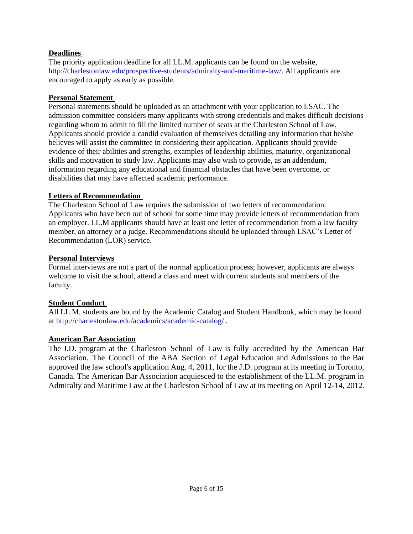#### **Deadlines**

The priority application deadline for all LL.M. applicants can be found on the website, http://charlestonlaw.edu/prospective-students/admiralty-and-maritime-law/. All applicants are encouraged to apply as early as possible.

#### **Personal Statement**

Personal statements should be uploaded as an attachment with your application to LSAC. The admission committee considers many applicants with strong credentials and makes difficult decisions regarding whom to admit to fill the limited number of seats at the Charleston School of Law. Applicants should provide a candid evaluation of themselves detailing any information that he/she believes will assist the committee in considering their application. Applicants should provide evidence of their abilities and strengths, examples of leadership abilities, maturity, organizational skills and motivation to study law. Applicants may also wish to provide, as an addendum, information regarding any educational and financial obstacles that have been overcome, or disabilities that may have affected academic performance.

#### **Letters of Recommendation**

The Charleston School of Law requires the submission of two letters of recommendation. Applicants who have been out of school for some time may provide letters of recommendation from an employer. LL.M applicants should have at least one letter of recommendation from a law faculty member, an attorney or a judge. Recommendations should be uploaded through LSAC's Letter of Recommendation (LOR) service.

#### **Personal Interviews**

Formal interviews are not a part of the normal application process; however, applicants are always welcome to visit the school, attend a class and meet with current students and members of the faculty.

# **Student Conduct**

All LL.M. students are bound by the Academic Catalog and Student Handbook, which may be found at<http://charlestonlaw.edu/academics/academic-catalog/>.

# **American Bar Association**

The J.D. program at the Charleston School of Law is fully accredited by the American Bar Association. The Council of the ABA Section of Legal Education and Admissions to the Bar approved the law school's application Aug. 4, 2011, for the J.D. program at its meeting in Toronto, Canada. The American Bar Association acquiesced to the establishment of the LL.M. program in Admiralty and Maritime Law at the Charleston School of Law at its meeting on April 12-14, 2012.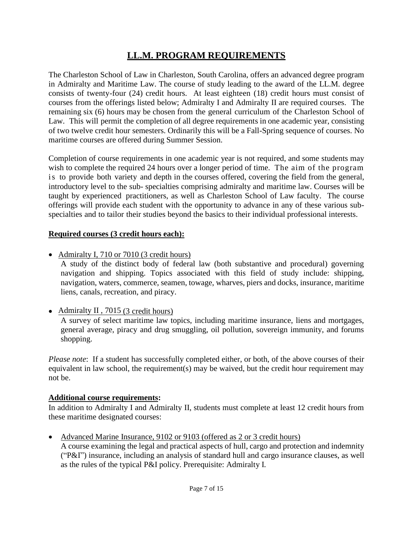# **LL.M. PROGRAM REQUIREMENTS**

The Charleston School of Law in Charleston, South Carolina, offers an advanced degree program in Admiralty and Maritime Law. The course of study leading to the award of the LL.M. degree consists of twenty-four (24) credit hours. At least eighteen (18) credit hours must consist of courses from the offerings listed below; Admiralty I and Admiralty II are required courses. The remaining six (6) hours may be chosen from the general curriculum of the Charleston School of Law. This will permit the completion of all degree requirements in one academic year, consisting of two twelve credit hour semesters. Ordinarily this will be a Fall-Spring sequence of courses. No maritime courses are offered during Summer Session.

Completion of course requirements in one academic year is not required, and some students may wish to complete the required 24 hours over a longer period of time. The aim of the program is to provide both variety and depth in the courses offered, covering the field from the general, introductory level to the sub- specialties comprising admiralty and maritime law. Courses will be taught by experienced practitioners, as well as Charleston School of Law faculty. The course offerings will provide each student with the opportunity to advance in any of these various subspecialties and to tailor their studies beyond the basics to their individual professional interests.

#### **Required courses (3 credit hours each):**

• Admiralty I, 710 or 7010 (3 credit hours)

A study of the distinct body of federal law (both substantive and procedural) governing navigation and shipping. Topics associated with this field of study include: shipping, navigation, waters, commerce, seamen, towage, wharves, piers and docks, insurance, maritime liens, canals, recreation, and piracy.

• Admiralty II, 7015 (3 credit hours)

A survey of select maritime law topics, including maritime insurance, liens and mortgages, general average, piracy and drug smuggling, oil pollution, sovereign immunity, and forums shopping.

*Please note*: If a student has successfully completed either, or both, of the above courses of their equivalent in law school, the requirement(s) may be waived, but the credit hour requirement may not be.

#### **Additional course requirements:**

In addition to Admiralty I and Admiralty II, students must complete at least 12 credit hours from these maritime designated courses:

• Advanced Marine Insurance, 9102 or 9103 (offered as 2 or 3 credit hours)

A course examining the legal and practical aspects of hull, cargo and protection and indemnity ("P&I") insurance, including an analysis of standard hull and cargo insurance clauses, as well as the rules of the typical P&I policy. Prerequisite: Admiralty I.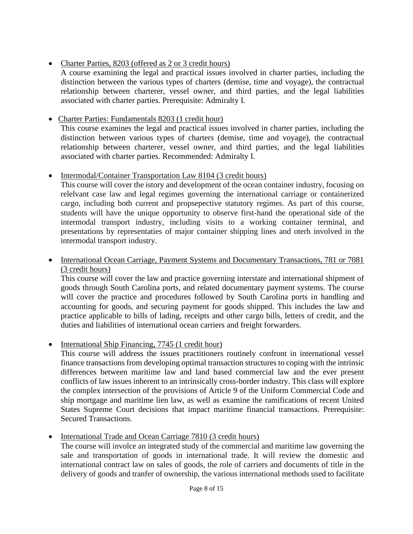# • Charter Parties, 8203 (offered as 2 or 3 credit hours)

A course examining the legal and practical issues involved in charter parties, including the distinction between the various types of charters (demise, time and voyage), the contractual relationship between charterer, vessel owner, and third parties, and the legal liabilities associated with charter parties. Prerequisite: Admiralty I.

# • Charter Parties: Fundamentals 8203 (1 credit hour)

This course examines the legal and practical issues involved in charter parties, including the distinction between various types of charters (demise, time and voyage), the contractual relationship between charterer, vessel owner, and third parties, and the legal liabilities associated with charter parties. Recommended: Admiralty I.

# • Intermodal/Container Transportation Law 8104 (3 credit hours)

This course will cover the istory and development of the ocean container industry, focusing on relelvant case law and legal regimes governing the international carriage or containerized cargo, including both current and propsepective statutory regimes. As part of this course, students will have the unique opportunity to observe first-hand the operational side of the intermodal transport industry, including visits to a working container terminal, and presentations by representaties of major container shipping lines and oterh involved in the intermodal transport industry.

# • International Ocean Carriage, Payment Systems and Documentary Transactions, 781 or 7081 (3 credit hours)

This course will cover the law and practice governing interstate and international shipment of goods through South Carolina ports, and related documentary payment systems. The course will cover the practice and procedures followed by South Carolina ports in handling and accounting for goods, and securing payment for goods shipped. This includes the law and practice applicable to bills of lading, receipts and other cargo bills, letters of credit, and the duties and liabilities of international ocean carriers and freight forwarders.

# • International Ship Financing, 7745 (1 credit hour)

This course will address the issues practitioners routinely confront in international vessel finance transactions from developing optimal transaction structures to coping with the intrinsic differences between maritime law and land based commercial law and the ever present conflicts of law issues inherent to an intrinsically cross-border industry. This class will explore the complex intersection of the provisions of Article 9 of the Uniform Commercial Code and ship mortgage and maritime lien law, as well as examine the ramifications of recent United States Supreme Court decisions that impact maritime financial transactions. Prerequisite: Secured Transactions.

# • International Trade and Ocean Carriage 7810 (3 credit hours)

The course will involce an integrated study of the commercial and maritime law governing the sale and transportation of goods in international trade. It will review the domestic and international contract law on sales of goods, the role of carriers and documents of title in the delivery of goods and tranfer of ownership, the various international methods used to facilitate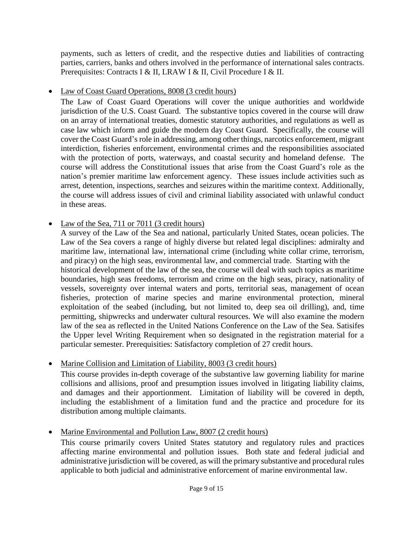payments, such as letters of credit, and the respective duties and liabilities of contracting parties, carriers, banks and others involved in the performance of international sales contracts. Prerequisites: Contracts I & II, LRAW I & II, Civil Procedure I & II.

• Law of Coast Guard Operations, 8008 (3 credit hours)

The Law of Coast Guard Operations will cover the unique authorities and worldwide jurisdiction of the U.S. Coast Guard. The substantive topics covered in the course will draw on an array of international treaties, domestic statutory authorities, and regulations as well as case law which inform and guide the modern day Coast Guard. Specifically, the course will cover the Coast Guard's role in addressing, among other things, narcotics enforcement, migrant interdiction, fisheries enforcement, environmental crimes and the responsibilities associated with the protection of ports, waterways, and coastal security and homeland defense. The course will address the Constitutional issues that arise from the Coast Guard's role as the nation's premier maritime law enforcement agency. These issues include activities such as arrest, detention, inspections, searches and seizures within the maritime context. Additionally, the course will address issues of civil and criminal liability associated with unlawful conduct in these areas.

# • Law of the Sea, 711 or 7011 (3 credit hours)

A survey of the Law of the Sea and national, particularly United States, ocean policies. The Law of the Sea covers a range of highly diverse but related legal disciplines: admiralty and maritime law, international law, international crime (including white collar crime, terrorism, and piracy) on the high seas, environmental law, and commercial trade. Starting with the historical development of the law of the sea, the course will deal with such topics as maritime boundaries, high seas freedoms, terrorism and crime on the high seas, piracy, nationality of vessels, sovereignty over internal waters and ports, territorial seas, management of ocean fisheries, protection of marine species and marine environmental protection, mineral exploitation of the seabed (including, but not limited to, deep sea oil drilling), and, time permitting, shipwrecks and underwater cultural resources. We will also examine the modern law of the sea as reflected in the United Nations Conference on the Law of the Sea. Satisifes the Upper level Writing Requirement when so designated in the registration material for a particular semester. Prerequisities: Satisfactory completion of 27 credit hours.

• Marine Collision and Limitation of Liability, 8003 (3 credit hours)

This course provides in-depth coverage of the substantive law governing liability for marine collisions and allisions, proof and presumption issues involved in litigating liability claims, and damages and their apportionment. Limitation of liability will be covered in depth, including the establishment of a limitation fund and the practice and procedure for its distribution among multiple claimants.

• Marine Environmental and Pollution Law, 8007 (2 credit hours)

This course primarily covers United States statutory and regulatory rules and practices affecting marine environmental and pollution issues. Both state and federal judicial and administrative jurisdiction will be covered, as will the primary substantive and procedural rules applicable to both judicial and administrative enforcement of marine environmental law.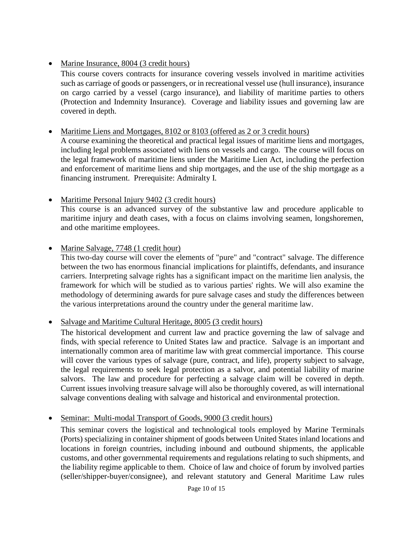# • Marine Insurance, 8004 (3 credit hours)

This course covers contracts for insurance covering vessels involved in maritime activities such as carriage of goods or passengers, or in recreational vessel use (hull insurance), insurance on cargo carried by a vessel (cargo insurance), and liability of maritime parties to others (Protection and Indemnity Insurance). Coverage and liability issues and governing law are covered in depth.

# • Maritime Liens and Mortgages, 8102 or 8103 (offered as 2 or 3 credit hours)

A course examining the theoretical and practical legal issues of maritime liens and mortgages, including legal problems associated with liens on vessels and cargo. The course will focus on the legal framework of maritime liens under the Maritime Lien Act, including the perfection and enforcement of maritime liens and ship mortgages, and the use of the ship mortgage as a financing instrument. Prerequisite: Admiralty I.

• Maritime Personal Injury 9402 (3 credit hours)

This course is an advanced survey of the substantive law and procedure applicable to maritime injury and death cases, with a focus on claims involving seamen, longshoremen, and othe maritime employees.

# • Marine Salvage, 7748 (1 credit hour)

This two-day course will cover the elements of "pure" and "contract" salvage. The difference between the two has enormous financial implications for plaintiffs, defendants, and insurance carriers. Interpreting salvage rights has a significant impact on the maritime lien analysis, the framework for which will be studied as to various parties' rights. We will also examine the methodology of determining awards for pure salvage cases and study the differences between the various interpretations around the country under the general maritime law.

• Salvage and Maritime Cultural Heritage, 8005 (3 credit hours)

The historical development and current law and practice governing the law of salvage and finds, with special reference to United States law and practice. Salvage is an important and internationally common area of maritime law with great commercial importance. This course will cover the various types of salvage (pure, contract, and life), property subject to salvage, the legal requirements to seek legal protection as a salvor, and potential liability of marine salvors. The law and procedure for perfecting a salvage claim will be covered in depth. Current issues involving treasure salvage will also be thoroughly covered, as will international salvage conventions dealing with salvage and historical and environmental protection.

Seminar: Multi-modal Transport of Goods, 9000 (3 credit hours)

This seminar covers the logistical and technological tools employed by Marine Terminals (Ports) specializing in container shipment of goods between United States inland locations and locations in foreign countries, including inbound and outbound shipments, the applicable customs, and other governmental requirements and regulations relating to such shipments, and the liability regime applicable to them. Choice of law and choice of forum by involved parties (seller/shipper-buyer/consignee), and relevant statutory and General Maritime Law rules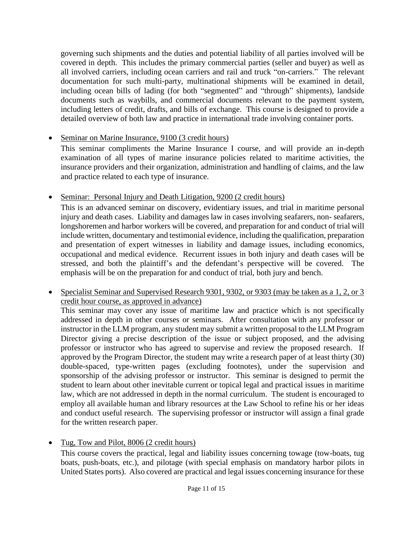governing such shipments and the duties and potential liability of all parties involved will be covered in depth. This includes the primary commercial parties (seller and buyer) as well as all involved carriers, including ocean carriers and rail and truck "on-carriers." The relevant documentation for such multi-party, multinational shipments will be examined in detail, including ocean bills of lading (for both "segmented" and "through" shipments), landside documents such as waybills, and commercial documents relevant to the payment system, including letters of credit, drafts, and bills of exchange. This course is designed to provide a detailed overview of both law and practice in international trade involving container ports.

# • Seminar on Marine Insurance, 9100 (3 credit hours)

This seminar compliments the Marine Insurance I course, and will provide an in-depth examination of all types of marine insurance policies related to maritime activities, the insurance providers and their organization, administration and handling of claims, and the law and practice related to each type of insurance.

• Seminar: Personal Injury and Death Litigation, 9200 (2 credit hours)

This is an advanced seminar on discovery, evidentiary issues, and trial in maritime personal injury and death cases. Liability and damages law in cases involving seafarers, non- seafarers, longshoremen and harbor workers will be covered, and preparation for and conduct of trial will include written, documentary and testimonial evidence, including the qualification, preparation and presentation of expert witnesses in liability and damage issues, including economics, occupational and medical evidence. Recurrent issues in both injury and death cases will be stressed, and both the plaintiff's and the defendant's perspective will be covered. The emphasis will be on the preparation for and conduct of trial, both jury and bench.

• Specialist Seminar and Supervised Research 9301, 9302, or 9303 (may be taken as a 1, 2, or 3 credit hour course, as approved in advance)

This seminar may cover any issue of maritime law and practice which is not specifically addressed in depth in other courses or seminars. After consultation with any professor or instructor in the LLM program, any student may submit a written proposal to the LLM Program Director giving a precise description of the issue or subject proposed, and the advising professor or instructor who has agreed to supervise and review the proposed research. If approved by the Program Director, the student may write a research paper of at least thirty (30) double-spaced, type-written pages (excluding footnotes), under the supervision and sponsorship of the advising professor or instructor. This seminar is designed to permit the student to learn about other inevitable current or topical legal and practical issues in maritime law, which are not addressed in depth in the normal curriculum. The student is encouraged to employ all available human and library resources at the Law School to refine his or her ideas and conduct useful research. The supervising professor or instructor will assign a final grade for the written research paper.

• Tug, Tow and Pilot, 8006 (2 credit hours)

This course covers the practical, legal and liability issues concerning towage (tow-boats, tug boats, push-boats, etc.), and pilotage (with special emphasis on mandatory harbor pilots in United States ports). Also covered are practical and legal issues concerning insurance for these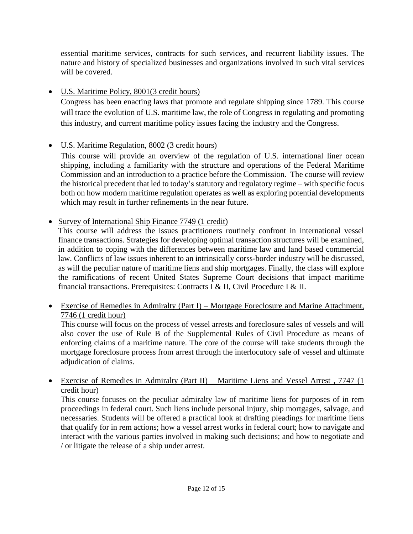essential maritime services, contracts for such services, and recurrent liability issues. The nature and history of specialized businesses and organizations involved in such vital services will be covered.

# • U.S. Maritime Policy, 8001(3 credit hours)

Congress has been enacting laws that promote and regulate shipping since 1789. This course will trace the evolution of U.S. maritime law, the role of Congress in regulating and promoting this industry, and current maritime policy issues facing the industry and the Congress.

# • U.S. Maritime Regulation, 8002 (3 credit hours)

This course will provide an overview of the regulation of U.S. international liner ocean shipping, including a familiarity with the structure and operations of the Federal Maritime Commission and an introduction to a practice before the Commission. The course will review the historical precedent that led to today's statutory and regulatory regime – with specific focus both on how modern maritime regulation operates as well as exploring potential developments which may result in further refinements in the near future.

# • Survey of International Ship Finance 7749 (1 credit)

This course will address the issues practitioners routinely confront in international vessel finance transactions. Strategies for developing optimal transaction structures will be examined, in addition to coping with the differences between maritime law and land based commercial law. Conflicts of law issues inherent to an intrinsically corss-border industry will be discussed, as will the peculiar nature of maritime liens and ship mortgages. Finally, the class will explore the ramifications of recent United States Supreme Court decisions that impact maritime financial transactions. Prerequisites: Contracts I & II, Civil Procedure I & II.

# • Exercise of Remedies in Admiralty (Part I) – Mortgage Foreclosure and Marine Attachment, 7746 (1 credit hour)

This course will focus on the process of vessel arrests and foreclosure sales of vessels and will also cover the use of Rule B of the Supplemental Rules of Civil Procedure as means of enforcing claims of a maritime nature. The core of the course will take students through the mortgage foreclosure process from arrest through the interlocutory sale of vessel and ultimate adjudication of claims.

# • Exercise of Remedies in Admiralty (Part II) – Maritime Liens and Vessel Arrest , 7747 (1 credit hour)

This course focuses on the peculiar admiralty law of maritime liens for purposes of in rem proceedings in federal court. Such liens include personal injury, ship mortgages, salvage, and necessaries. Students will be offered a practical look at drafting pleadings for maritime liens that qualify for in rem actions; how a vessel arrest works in federal court; how to navigate and interact with the various parties involved in making such decisions; and how to negotiate and / or litigate the release of a ship under arrest.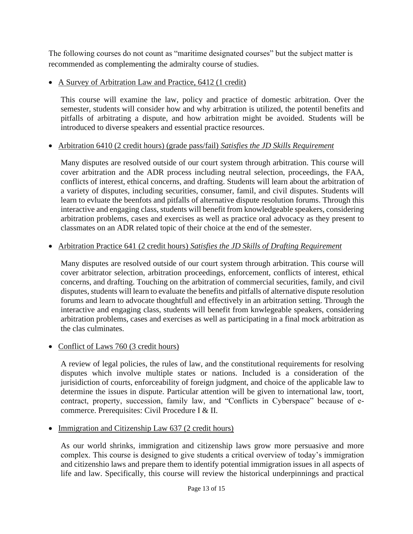The following courses do not count as "maritime designated courses" but the subject matter is recommended as complementing the admiralty course of studies.

• A Survey of Arbitration Law and Practice, 6412 (1 credit)

This course will examine the law, policy and practice of domestic arbitration. Over the semester, students will consider how and why arbitration is utilized, the potentil benefits and pitfalls of arbitrating a dispute, and how arbitration might be avoided. Students will be introduced to diverse speakers and essential practice resources.

# • Arbitration 6410 (2 credit hours) (grade pass/fail) *Satisfies the JD Skills Requirement*

Many disputes are resolved outside of our court system through arbitration. This course will cover arbitration and the ADR process including neutral selection, proceedings, the FAA, conflicts of interest, ethical concerns, and drafting. Students will learn about the arbitration of a variety of disputes, including securities, consumer, famil, and civil disputes. Students will learn to evluate the beenfots and pitfalls of alternative dispute resolution forums. Through this interactive and engaging class, students will benefit from knowledgeable speakers, considering arbitration problems, cases and exercises as well as practice oral advocacy as they present to classmates on an ADR related topic of their choice at the end of the semester.

# • Arbitration Practice 641 (2 credit hours) *Satisfies the JD Skills of Drafting Requirement*

Many disputes are resolved outside of our court system through arbitration. This course will cover arbitrator selection, arbitration proceedings, enforcement, conflicts of interest, ethical concerns, and drafting. Touching on the arbitration of commercial securities, family, and civil disputes, students will learn to evaluate the benefits and pitfalls of alternative dispute resolution forums and learn to advocate thoughtfull and effectively in an arbitration setting. Through the interactive and engaging class, students will benefit from knwlegeable speakers, considering arbitration problems, cases and exercises as well as participating in a final mock arbitration as the clas culminates.

# • Conflict of Laws 760 (3 credit hours)

A review of legal policies, the rules of law, and the constitutional requirements for resolving disputes which involve multiple states or nations. Included is a consideration of the jurisidiction of courts, enforceability of foreign judgment, and choice of the applicable law to determine the issues in dispute. Particular attention will be given to international law, toort, contract, property, succession, family law, and "Conflicts in Cyberspace" because of ecommerce. Prerequisites: Civil Procedure I & II.

• Immigration and Citizenship Law 637 (2 credit hours)

As our world shrinks, immigration and citizenship laws grow more persuasive and more complex. This course is designed to give students a critical overview of today's immigration and citizenshio laws and prepare them to identify potential immigration issues in all aspects of life and law. Specifically, this course will review the historical underpinnings and practical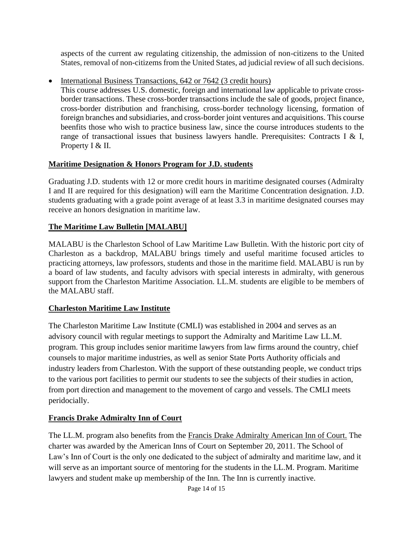aspects of the current aw regulating citizenship, the admission of non-citizens to the United States, removal of non-citizems from the United States, ad judicial review of all such decisions.

• International Business Transactions, 642 or 7642 (3 credit hours)

This course addresses U.S. domestic, foreign and international law applicable to private crossborder transactions. These cross-border transactions include the sale of goods, project finance, cross-border distribution and franchising, cross-border technology licensing, formation of foreign branches and subsidiaries, and cross-border joint ventures and acquisitions. This course beenfits those who wish to practice business law, since the course introduces students to the range of transactional issues that business lawyers handle. Prerequisites: Contracts I & I, Property I & II.

# **Maritime Designation & Honors Program for J.D. students**

Graduating J.D. students with 12 or more credit hours in maritime designated courses (Admiralty I and II are required for this designation) will earn the Maritime Concentration designation. J.D. students graduating with a grade point average of at least 3.3 in maritime designated courses may receive an honors designation in maritime law.

# **The Maritime Law Bulletin [MALABU]**

MALABU is the Charleston School of Law Maritime Law Bulletin. With the historic port city of Charleston as a backdrop, MALABU brings timely and useful maritime focused articles to practicing attorneys, law professors, students and those in the maritime field. MALABU is run by a board of law students, and faculty advisors with special interests in admiralty, with generous support from the Charleston Maritime Association. LL.M. students are eligible to be members of the MALABU staff.

# **Charleston Maritime Law Institute**

The Charleston Maritime Law Institute (CMLI) was established in 2004 and serves as an advisory council with regular meetings to support the Admiralty and Maritime Law LL.M. program. This group includes senior maritime lawyers from law firms around the country, chief counsels to major maritime industries, as well as senior State Ports Authority officials and industry leaders from Charleston. With the support of these outstanding people, we conduct trips to the various port facilities to permit our students to see the subjects of their studies in action, from port direction and management to the movement of cargo and vessels. The CMLI meets peridocially.

# **Francis Drake Admiralty Inn of Court**

The LL.M. program also benefits from the Francis Drake [Admiralty](https://charlestonlaw.edu/prospective-students/admiralty-and-maritime-law/sir-francis-drake-american-inn-of-court/) American Inn of Court. The charter was awarded by the American Inns of Court on September 20, 2011. The School of Law's Inn of Court is the only one dedicated to the subject of admiralty and maritime law, and it will serve as an important source of mentoring for the students in the LL.M. Program. Maritime lawyers and student make up membership of the Inn. The Inn is currently inactive.